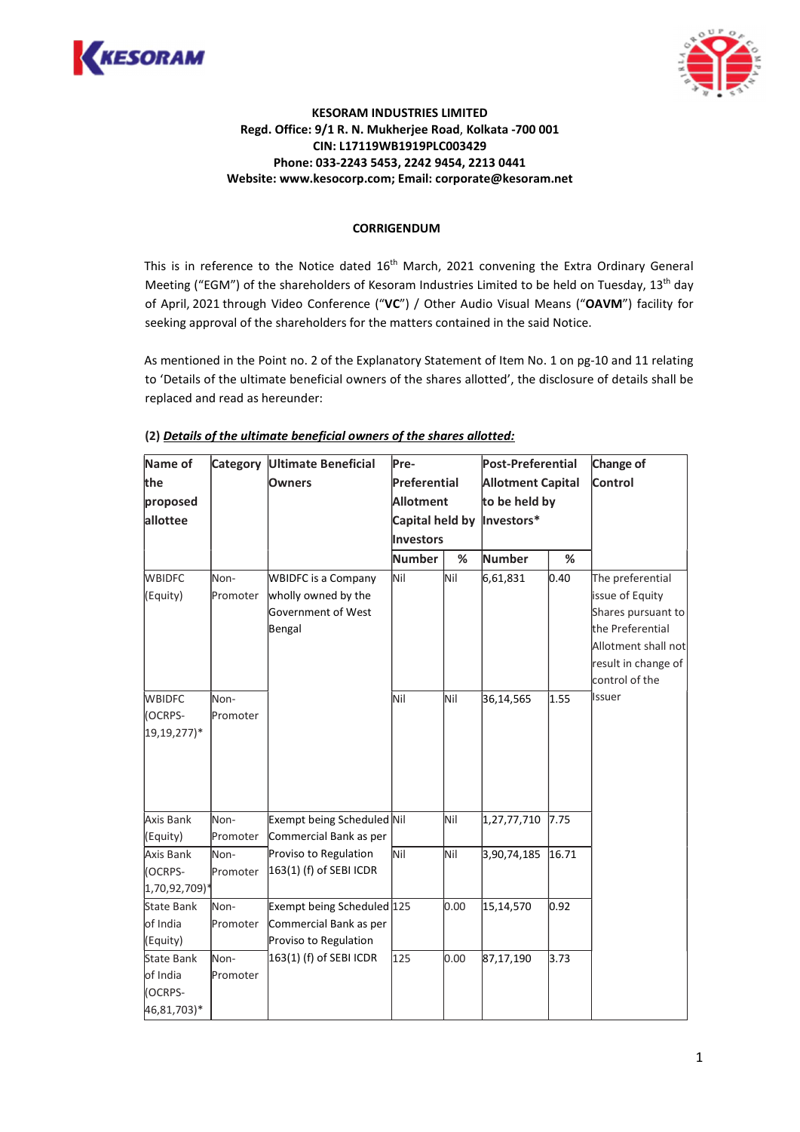



## KESORAM INDUSTRIES LIMITED Regd. Office: 9/1 R. N. Mukherjee Road, Kolkata -700 001 CIN: L17119WB1919PLC003429 Phone: 033-2243 5453, 2242 9454, 2213 0441 Website: www.kesocorp.com; Email: corporate@kesoram.net

## **CORRIGENDUM**

This is in reference to the Notice dated 16<sup>th</sup> March, 2021 convening the Extra Ordinary General Meeting ("EGM") of the shareholders of Kesoram Industries Limited to be held on Tuesday, 13th day of April, 2021 through Video Conference ("VC") / Other Audio Visual Means ("OAVM") facility for seeking approval of the shareholders for the matters contained in the said Notice.

As mentioned in the Point no. 2 of the Explanatory Statement of Item No. 1 on pg-10 and 11 relating to 'Details of the ultimate beneficial owners of the shares allotted', the disclosure of details shall be replaced and read as hereunder:

| Name of<br>lthe<br>proposed |                  | Category Ultimate Beneficial<br><b>Owners</b>        | Pre-<br>Preferential<br><b>Allotment</b><br>Capital held by<br>Investors |      | Post-Preferential<br><b>Allotment Capital</b><br>to be held by<br>Investors* |       | Change of<br>Control |
|-----------------------------|------------------|------------------------------------------------------|--------------------------------------------------------------------------|------|------------------------------------------------------------------------------|-------|----------------------|
| allottee                    |                  |                                                      |                                                                          |      |                                                                              |       |                      |
|                             |                  |                                                      |                                                                          |      |                                                                              |       |                      |
|                             |                  |                                                      | <b>Number</b>                                                            | %    | <b>Number</b>                                                                | %     |                      |
| <b>WBIDFC</b>               | Non-             | <b>WBIDFC</b> is a Company                           | Nil                                                                      | Nil  | 6,61,831                                                                     | 0.40  | The preferential     |
| (Equity)                    | Promoter         | wholly owned by the                                  |                                                                          |      |                                                                              |       | issue of Equity      |
|                             |                  | Government of West                                   |                                                                          |      |                                                                              |       | Shares pursuant to   |
|                             |                  | Bengal                                               |                                                                          |      |                                                                              |       | the Preferential     |
|                             |                  |                                                      |                                                                          |      |                                                                              |       | Allotment shall not  |
|                             |                  |                                                      |                                                                          |      |                                                                              |       | result in change of  |
|                             |                  |                                                      |                                                                          |      |                                                                              |       | control of the       |
| <b>WBIDFC</b>               | Non-             |                                                      | lNil.                                                                    | Nil  | 36,14,565                                                                    | 1.55  | Issuer               |
| (OCRPS-                     | Promoter         |                                                      |                                                                          |      |                                                                              |       |                      |
| 19,19,277)*                 |                  |                                                      |                                                                          |      |                                                                              |       |                      |
| Axis Bank<br>(Equity)       | Non-<br>Promoter | Exempt being Scheduled Nil<br>Commercial Bank as per |                                                                          | lnil | 1,27,77,710                                                                  | 7.75  |                      |
| Axis Bank                   | Non-             | Proviso to Regulation                                | lnil                                                                     | lnil | 3,90,74,185                                                                  | 16.71 |                      |
| (OCRPS-                     | Promoter         | $ 163(1)$ (f) of SEBI ICDR                           |                                                                          |      |                                                                              |       |                      |
| 1,70,92,709)*               |                  |                                                      |                                                                          |      |                                                                              |       |                      |
| State Bank                  | Non-             | Exempt being Scheduled 125                           |                                                                          | 0.00 | 15,14,570                                                                    | 0.92  |                      |
| of India                    | Promoter         | Commercial Bank as per                               |                                                                          |      |                                                                              |       |                      |
| (Equity)                    |                  | Proviso to Regulation                                |                                                                          |      |                                                                              |       |                      |
| <b>State Bank</b>           | Non-             | 163(1) (f) of SEBI ICDR                              | 125                                                                      | 0.00 | 87,17,190                                                                    | 3.73  |                      |
| of India                    | Promoter         |                                                      |                                                                          |      |                                                                              |       |                      |
| (OCRPS-                     |                  |                                                      |                                                                          |      |                                                                              |       |                      |
| 46,81,703)*                 |                  |                                                      |                                                                          |      |                                                                              |       |                      |

## (2) Details of the ultimate beneficial owners of the shares allotted: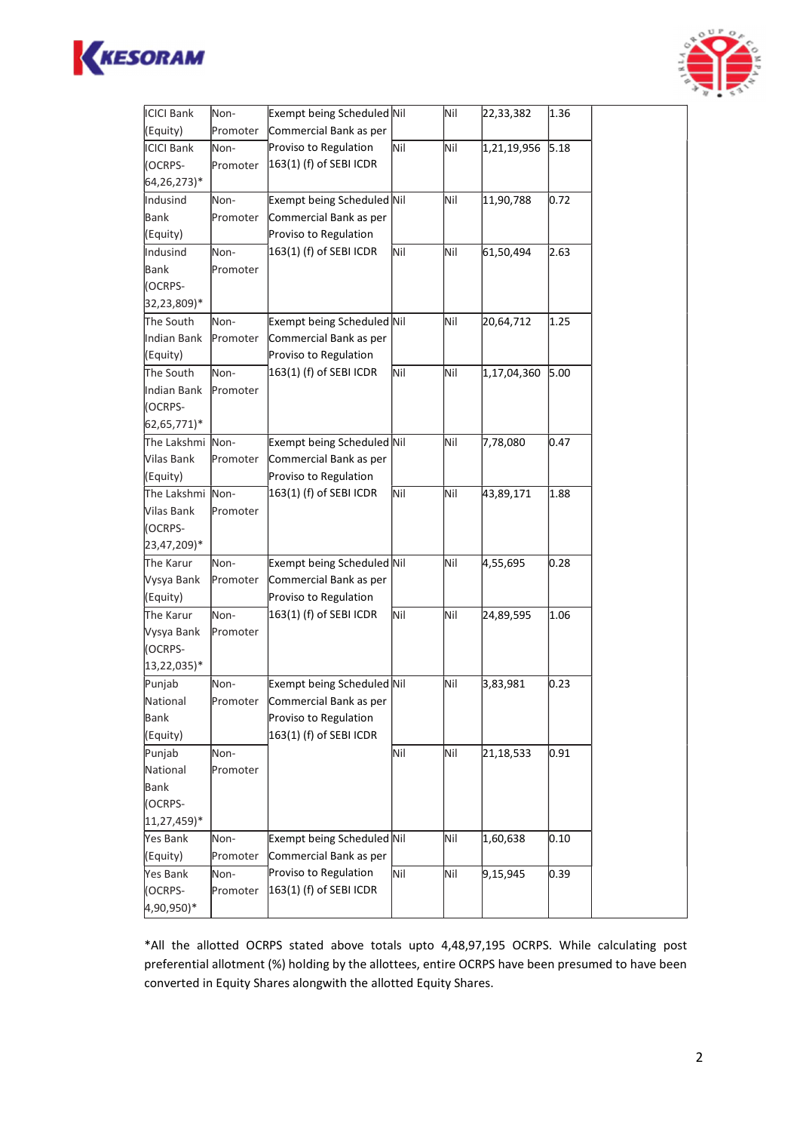



| <b>ICICI Bank</b>                                               | Non-     | Exempt being Scheduled Nil |     | Nil | 22,33,382   | 1.36           |  |
|-----------------------------------------------------------------|----------|----------------------------|-----|-----|-------------|----------------|--|
| (Equity)                                                        | Promoter | Commercial Bank as per     |     |     |             |                |  |
| ICICI Bank                                                      | Non-     | Proviso to Regulation      | Nil | Nil | 1,21,19,956 | 5.18           |  |
| (OCRPS-                                                         | Promoter | $ 163(1)$ (f) of SEBI ICDR |     |     |             |                |  |
| 64,26,273)*                                                     |          |                            |     |     |             |                |  |
| Indusind                                                        | Non-     | Exempt being Scheduled Nil |     | Nil | 11,90,788   | 0.72           |  |
| Bank                                                            | Promoter | Commercial Bank as per     |     |     |             |                |  |
| (Equity)                                                        |          | Proviso to Regulation      |     |     |             |                |  |
| Indusind                                                        | Non-     | 163(1) (f) of SEBI ICDR    | Nil | Nil | 61,50,494   | 2.63           |  |
| Bank                                                            | Promoter |                            |     |     |             |                |  |
| (OCRPS-                                                         |          |                            |     |     |             |                |  |
| 32,23,809)*                                                     |          |                            |     |     |             |                |  |
| The South                                                       | Non-     | Exempt being Scheduled Nil |     | Nil | 20,64,712   | 1.25           |  |
| Indian Bank                                                     | Promoter | Commercial Bank as per     |     |     |             |                |  |
| (Equity)                                                        |          | Proviso to Regulation      |     |     |             |                |  |
| $\operatorname{\mathsf{The}}$ South $\operatorname{\mathsf{I}}$ | Non-     | 163(1) (f) of SEBI ICDR    | Nil | Nil | 1,17,04,360 | 5.00           |  |
| Indian Bank                                                     | Promoter |                            |     |     |             |                |  |
| (OCRPS-                                                         |          |                            |     |     |             |                |  |
| 62,65,771)*                                                     |          |                            |     |     |             |                |  |
| The Lakshmi  Non-                                               |          | Exempt being Scheduled Nil |     | Nil | 7,78,080    | 0.47           |  |
| Vilas Bank                                                      | Promoter | Commercial Bank as per     |     |     |             |                |  |
| (Equity)                                                        |          | Proviso to Regulation      |     |     |             |                |  |
| The Lakshmi Non-                                                |          | [163(1) (f) of SEBI ICDR   | Nil | Nil | 43,89,171   | 1.88           |  |
| Vilas Bank                                                      | Promoter |                            |     |     |             |                |  |
| (OCRPS-                                                         |          |                            |     |     |             |                |  |
| 23,47,209)*                                                     |          |                            |     |     |             |                |  |
| The Karur                                                       | Non-     | Exempt being Scheduled Nil |     | Nil | 4,55,695    | 0.28           |  |
| Vysya Bank                                                      | Promoter | Commercial Bank as per     |     |     |             |                |  |
| (Equity)                                                        |          | Proviso to Regulation      |     |     |             |                |  |
| The Karur                                                       | Non-     | [163(1) (f) of SEBI ICDR   | Nil | Nil | 24,89,595   | 1.06           |  |
| Vysya Bank                                                      | Promoter |                            |     |     |             |                |  |
| (OCRPS-                                                         |          |                            |     |     |             |                |  |
| 13,22,035)*                                                     |          |                            |     |     |             |                |  |
| Punjab                                                          | Non-     | Exempt being Scheduled Nil |     | Nil | 3,83,981    | $ 0.23\rangle$ |  |
| National                                                        | Promoter | Commercial Bank as per     |     |     |             |                |  |
| Bank                                                            |          | Proviso to Regulation      |     |     |             |                |  |
| (Equity)                                                        |          | 163(1) (f) of SEBI ICDR    |     |     |             |                |  |
| Punjab                                                          | Non-     |                            | Nil | Nil | 21,18,533   | 0.91           |  |
| National                                                        | Promoter |                            |     |     |             |                |  |
| Bank                                                            |          |                            |     |     |             |                |  |
| (OCRPS-                                                         |          |                            |     |     |             |                |  |
| 11,27,459)*                                                     |          |                            |     |     |             |                |  |
| Yes Bank                                                        | Non-     | Exempt being Scheduled Nil |     | Nil | 1,60,638    | 0.10           |  |
| (Equity)                                                        | Promoter | Commercial Bank as per     |     |     |             |                |  |
| Yes Bank                                                        | Non-     | Proviso to Regulation      | Nil | Nil | 9,15,945    | 0.39           |  |
| (OCRPS-                                                         | Promoter | 163(1) (f) of SEBI ICDR    |     |     |             |                |  |
| 4,90,950)*                                                      |          |                            |     |     |             |                |  |
|                                                                 |          |                            |     |     |             |                |  |

\*All the allotted OCRPS stated above totals upto 4,48,97,195 OCRPS. While calculating post preferential allotment (%) holding by the allottees, entire OCRPS have been presumed to have been converted in Equity Shares alongwith the allotted Equity Shares.